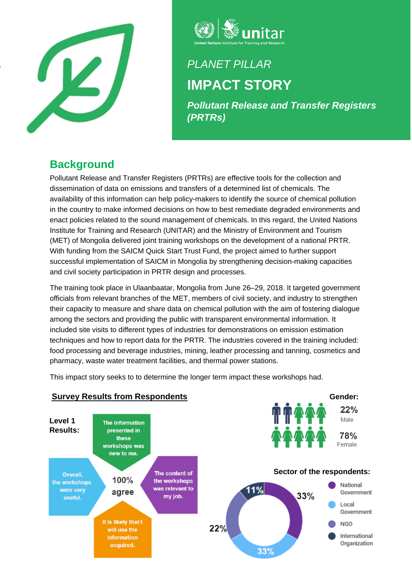



# *PLANET PILLAR* **IMPACT STORY**

*Pollutant Release and Transfer Registers (PRTRs)*

# **Background**

Pollutant Release and Transfer Registers (PRTRs) are effective tools for the collection and dissemination of data on emissions and transfers of a determined list of chemicals. The availability of this information can help policy-makers to identify the source of chemical pollution in the country to make informed decisions on how to best remediate degraded environments and enact policies related to the sound management of chemicals. In this regard, the United Nations Institute for Training and Research (UNITAR) and the Ministry of Environment and Tourism (MET) of Mongolia delivered joint training workshops on the development of a national PRTR. With funding from the SAICM Quick Start Trust Fund, the project aimed to further support successful implementation of SAICM in Mongolia by strengthening decision-making capacities and civil society participation in PRTR design and processes.

The training took place in Ulaanbaatar, Mongolia from June 26–29, 2018. It targeted government officials from relevant branches of the MET, members of civil society, and industry to strengthen their capacity to measure and share data on chemical pollution with the aim of fostering dialogue among the sectors and providing the public with transparent environmental information. It included site visits to different types of industries for demonstrations on emission estimation techniques and how to report data for the PRTR. The industries covered in the training included: food processing and beverage industries, mining, leather processing and tanning, cosmetics and pharmacy, waste water treatment facilities, and thermal power stations.

This impact story seeks to to determine the longer term impact these workshops had.



### **Survey Results from Respondents**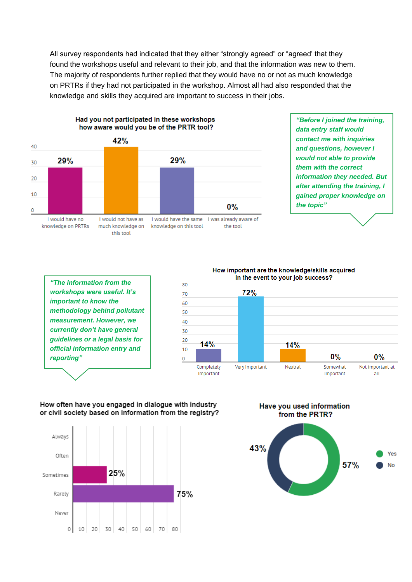All survey respondents had indicated that they either "strongly agreed" or "agreed' that they found the workshops useful and relevant to their job, and that the information was new to them. The majority of respondents further replied that they would have no or not as much knowledge on PRTRs if they had not participated in the workshop. Almost all had also responded that the knowledge and skills they acquired are important to success in their jobs.



Had you not participated in these workshops

### *"Before I joined the training, data entry staff would contact me with inquiries and questions, however I would not able to provide them with the correct information they needed. But after attending the training, I gained proper knowledge on the topic"*

*"The information from the workshops were useful. It's important to know the methodology behind pollutant measurement. However, we currently don't have general guidelines or a legal basis for official information entry and reporting"*



#### How often have you engaged in dialogue with industry or civil society based on information from the registry?



Have you used information from the PRTR?



How important are the knowledge/skills acquired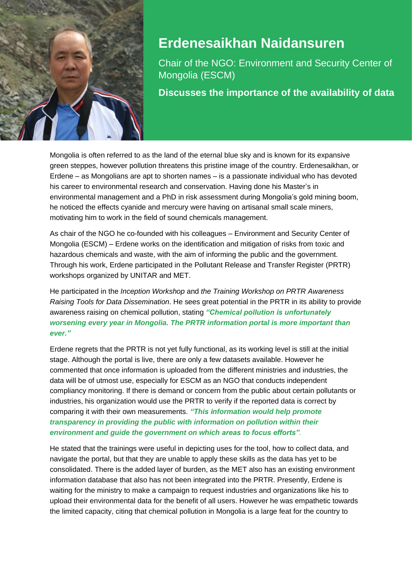

# **Erdenesaikhan Naidansuren**

Chair of the NGO: Environment and Security Center of Mongolia (ESCM)

**Discusses the importance of the availability of data**

Mongolia is often referred to as the land of the eternal blue sky and is known for its expansive green steppes, however pollution threatens this pristine image of the country. Erdenesaikhan, or Erdene – as Mongolians are apt to shorten names – is a passionate individual who has devoted his career to environmental research and conservation. Having done his Master's in environmental management and a PhD in risk assessment during Mongolia's gold mining boom, he noticed the effects cyanide and mercury were having on artisanal small scale miners, motivating him to work in the field of sound chemicals management.

As chair of the NGO he co-founded with his colleagues – Environment and Security Center of Mongolia (ESCM) – Erdene works on the identification and mitigation of risks from toxic and hazardous chemicals and waste, with the aim of informing the public and the government. Through his work, Erdene participated in the Pollutant Release and Transfer Register (PRTR) workshops organized by UNITAR and MET.

He participated in the *Inception Workshop* and *the Training Workshop on PRTR Awareness Raising Tools for Data Dissemination*. He sees great potential in the PRTR in its ability to provide awareness raising on chemical pollution, stating *"Chemical pollution is unfortunately worsening every year in Mongolia. The PRTR information portal is more important than ever."*

Erdene regrets that the PRTR is not yet fully functional, as its working level is still at the initial stage. Although the portal is live, there are only a few datasets available. However he commented that once information is uploaded from the different ministries and industries, the data will be of utmost use, especially for ESCM as an NGO that conducts independent compliancy monitoring. If there is demand or concern from the public about certain pollutants or industries, his organization would use the PRTR to verify if the reported data is correct by comparing it with their own measurements. *"This information would help promote transparency in providing the public with information on pollution within their environment and guide the government on which areas to focus efforts"*.

He stated that the trainings were useful in depicting uses for the tool, how to collect data, and navigate the portal, but that they are unable to apply these skills as the data has yet to be consolidated. There is the added layer of burden, as the MET also has an existing environment information database that also has not been integrated into the PRTR. Presently, Erdene is waiting for the ministry to make a campaign to request industries and organizations like his to upload their environmental data for the benefit of all users. However he was empathetic towards the limited capacity, citing that chemical pollution in Mongolia is a large feat for the country to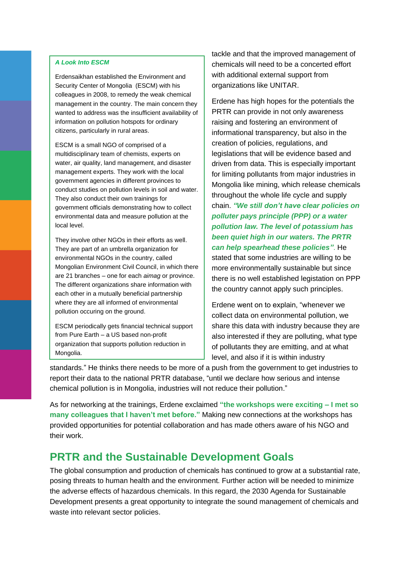#### *A Look Into ESCM*

Erdensaikhan established the Environment and Security Center of Mongolia (ESCM) with his colleagues in 2008, to remedy the weak chemical management in the country. The main concern they wanted to address was the insufficient availability of information on pollution hotspots for ordinary citizens, particularly in rural areas.

ESCM is a small NGO of comprised of a multidisciplinary team of chemists, experts on water, air quality, land management, and disaster management experts. They work with the local government agencies in different provinces to conduct studies on pollution levels in soil and water. They also conduct their own trainings for government officials demonstrating how to collect environmental data and measure pollution at the local level.

They involve other NGOs in their efforts as well. They are part of an umbrella organization for environmental NGOs in the country, called Mongolian Environment Civil Council, in which there are 21 branches – one for each *aimag* or province. The different organizations share information with each other in a mutually beneficial partnership where they are all informed of environmental pollution occuring on the ground.

ESCM periodically gets financial technical support from Pure Earth – a US based non-profit organization that supports pollution reduction in Mongolia.

tackle and that the improved management of chemicals will need to be a concerted effort with additional external support from organizations like UNITAR.

Erdene has high hopes for the potentials the PRTR can provide in not only awareness raising and fostering an environment of informational transparency, but also in the creation of policies, regulations, and legislations that will be evidence based and driven from data. This is especially important for limiting pollutants from major industries in Mongolia like mining, which release chemicals throughout the whole life cycle and supply chain. *"We still don't have clear policies on polluter pays principle (PPP) or a water pollution law. The level of potassium has been quiet high in our waters. The PRTR can help spearhead these policies"*. He stated that some industries are willing to be more environmentally sustainable but since there is no well established legistation on PPP the country cannot apply such principles.

Erdene went on to explain, "whenever we collect data on environmental pollution, we share this data with industry because they are also interested if they are polluting, what type of pollutants they are emitting, and at what level, and also if it is within industry

standards." He thinks there needs to be more of a push from the government to get industries to report their data to the national PRTR database, "until we declare how serious and intense chemical pollution is in Mongolia, industries will not reduce their pollution."

As for networking at the trainings, Erdene exclaimed **"the workshops were exciting – I met so many colleagues that I haven't met before."** Making new connections at the workshops has provided opportunities for potential collaboration and has made others aware of his NGO and their work.

# **PRTR and the Sustainable Development Goals**

The global consumption and production of chemicals has continued to grow at a substantial rate, posing threats to human health and the environment. Further action will be needed to minimize the adverse effects of hazardous chemicals. In this regard, the 2030 Agenda for Sustainable Development presents a great opportunity to integrate the sound management of chemicals and waste into relevant sector policies.